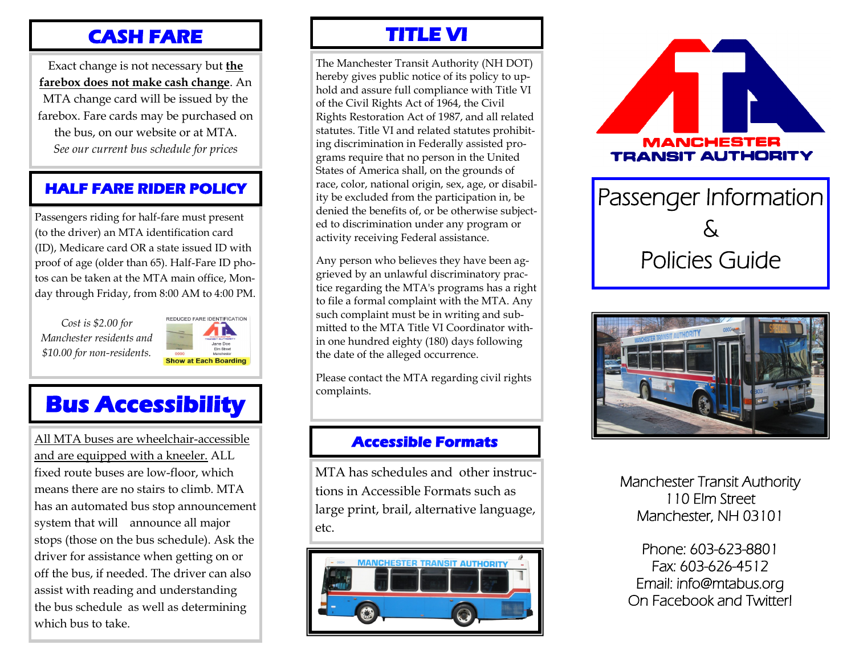## **CASH FARE**

Exact change is not necessary but **the farebox does not make cash change**. An MTA change card will be issued by the farebox. Fare cards may be purchased on the bus, on our website or at MTA. *See our current bus schedule for prices*

## **HALF FARE RIDER POLICY**

Passengers riding for half-fare must present (to the driver) an MTA identification card (ID), Medicare card OR a state issued ID with proof of age (older than 65). Half-Fare ID photos can be taken at the MTA main office, Monday through Friday, from 8:00 AM to 4:00 PM.

*Cost is \$2.00 for Manchester residents and \$10.00 for non-residents.*



# **Bus Accessibility**

All MTA buses are wheelchair-accessible and are equipped with a kneeler. ALL fixed route buses are low-floor, which means there are no stairs to climb. MTA has an automated bus stop announcement system that will announce all major stops (those on the bus schedule). Ask the driver for assistance when getting on or off the bus, if needed. The driver can also assist with reading and understanding the bus schedule as well as determining which bus to take.

# **TITLE VI**

The Manchester Transit Authority (NH DOT) hereby gives public notice of its policy to uphold and assure full compliance with Title VI of the Civil Rights Act of 1964, the Civil Rights Restoration Act of 1987, and all related statutes. Title VI and related statutes prohibiting discrimination in Federally assisted programs require that no person in the United States of America shall, on the grounds of race, color, national origin, sex, age, or disability be excluded from the participation in, be denied the benefits of, or be otherwise subjected to discrimination under any program or activity receiving Federal assistance.

Any person who believes they have been aggrieved by an unlawful discriminatory practice regarding the MTA's programs has a right to file a formal complaint with the MTA. Any such complaint must be in writing and submitted to the MTA Title VI Coordinator within one hundred eighty (180) days following the date of the alleged occurrence.

Please contact the MTA regarding civil rights complaints.

## **Accessible Formats**

MTA has schedules and other instructions in Accessible Formats such as large print, brail, alternative language, etc.





Passenger Information & Policies Guide



Manchester Transit Authority 110 Elm Street Manchester, NH 03101

Phone: 603-623-8801 Fax: 603-626-4512 Email: info@mtabus.org On Facebook and Twitter!